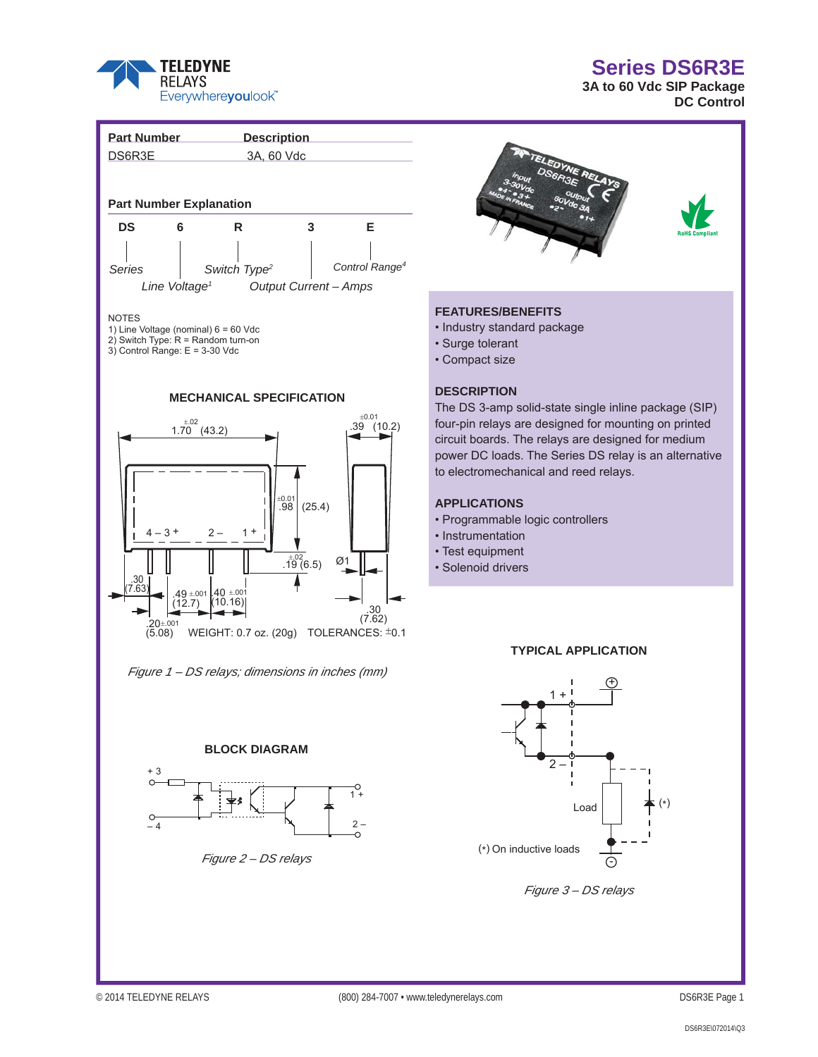

# **Series DS6R3E**

**3A to 60 Vdc SIP Package DC Control** 





## **FEATURES/BENEFITS**

- Industry standard package
- Surge tolerant
- Compact size

#### **DESCRIPTION**

The DS 3-amp solid-state single inline package (SIP) four-pin relays are designed for mounting on printed circuit boards. The relays are designed for medium power DC loads. The Series DS relay is an alternative to electromechanical and reed relays.

## **APPLICATIONS**

- Programmable logic controllers
- Instrumentation
- Test equipment
- Solenoid drivers